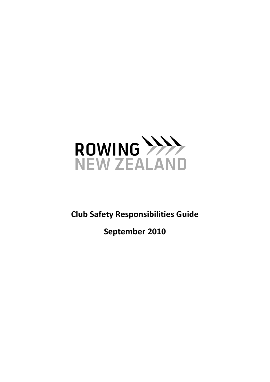

**Club Safety Responsibilities Guide**

**September 2010**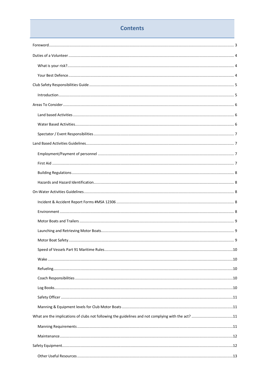# **Contents**

| What are the implications of clubs not following the guidelines and not complying with the act? 11 |  |
|----------------------------------------------------------------------------------------------------|--|
|                                                                                                    |  |
|                                                                                                    |  |
|                                                                                                    |  |
|                                                                                                    |  |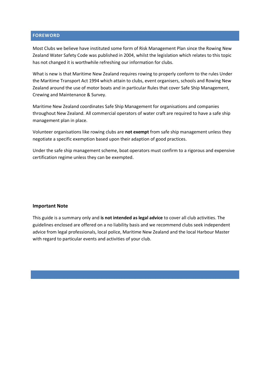### <span id="page-2-0"></span>**FOREWORD**

Most Clubs we believe have instituted some form of Risk Management Plan since the Rowing New Zealand Water Safety Code was published in 2004, whilst the legislation which relates to this topic has not changed it is worthwhile refreshing our information for clubs.

What is new is that Maritime New Zealand requires rowing to properly conform to the rules Under the Maritime Transport Act 1994 which attain to clubs, event organisers, schools and Rowing New Zealand around the use of motor boats and in particular Rules that cover Safe Ship Management, Crewing and Maintenance & Survey.

Maritime New Zealand coordinates Safe Ship Management for organisations and companies throughout New Zealand. All commercial operators of water craft are required to have a safe ship management plan in place.

Volunteer organisations like rowing clubs are **not exempt** from safe ship management unless they negotiate a specific exemption based upon their adaption of good practices.

Under the safe ship management scheme, boat operators must confirm to a rigorous and expensive certification regime unless they can be exempted.

#### **Important Note**

This guide is a summary only and **is not intended as legal advice** to cover all club activities. The guidelines enclosed are offered on a no liability basis and we recommend clubs seek independent advice from legal professionals, local police, Maritime New Zealand and the local Harbour Master with regard to particular events and activities of your club.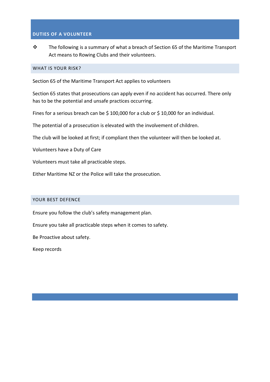## <span id="page-3-0"></span>**DUTIES OF A VOLUNTEER**

 $\cdot \cdot$  The following is a summary of what a breach of Section 65 of the Maritime Transport Act means to Rowing Clubs and their volunteers.

### <span id="page-3-1"></span>WHAT IS YOUR RISK?

Section 65 of the Maritime Transport Act applies to volunteers

Section 65 states that prosecutions can apply even if no accident has occurred. There only has to be the potential and unsafe practices occurring.

Fines for a serious breach can be \$100,000 for a club or \$10,000 for an individual.

The potential of a prosecution is elevated with the involvement of children.

The club will be looked at first; if compliant then the volunteer will then be looked at.

Volunteers have a Duty of Care

Volunteers must take all practicable steps.

Either Maritime NZ or the Police will take the prosecution.

#### <span id="page-3-2"></span>YOUR BEST DEFENCE

Ensure you follow the club's safety management plan.

Ensure you take all practicable steps when it comes to safety.

Be Proactive about safety.

Keep records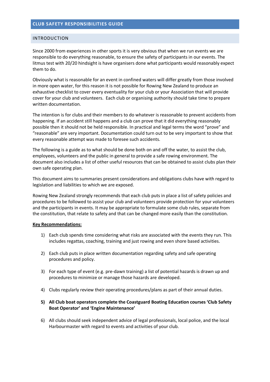#### <span id="page-4-1"></span><span id="page-4-0"></span>INTRODUCTION

Since 2000 from experiences in other sports it is very obvious that when we run events we are responsible to do everything reasonable, to ensure the safety of participants in our events. The litmus test with 20/20 hindsight is have organisers done what participants would reasonably expect them to do.

Obviously what is reasonable for an event in confined waters will differ greatly from those involved in more open water, for this reason it is not possible for Rowing New Zealand to produce an exhaustive checklist to cover every eventuality for your club or your Association that will provide cover for your club and volunteers. Each club or organising authority should take time to prepare written documentation.

The intention is for clubs and their members to do whatever is reasonable to prevent accidents from happening. If an accident still happens and a club can prove that it did everything reasonably possible then it should not be held responsible. In practical and legal terms the word "prove" and "reasonable" are very important. Documentation could turn out to be very important to show that every reasonable attempt was made to foresee such accidents.

The following is a guide as to what should be done both on and off the water, to assist the club, employees, volunteers and the public in general to provide a safe rowing environment. The document also includes a list of other useful resources that can be obtained to assist clubs plan their own safe operating plan.

This document aims to summaries present considerations and obligations clubs have with regard to legislation and liabilities to which we are exposed.

Rowing New Zealand strongly recommends that each club puts in place a list of safety policies and procedures to be followed to assist your club and volunteers provide protection for your volunteers and the participants in events. It may be appropriate to formulate some club rules, separate from the constitution, that relate to safety and that can be changed more easily than the constitution.

#### **Key Recommendations:**

- 1) Each club spends time considering what risks are associated with the events they run. This includes regattas, coaching, training and just rowing and even shore based activities.
- 2) Each club puts in place written documentation regarding safety and safe operating procedures and policy.
- 3) For each type of event (e.g. pre-dawn training) a list of potential hazards is drawn up and procedures to minimize or manage those hazards are developed.
- 4) Clubs regularly review their operating procedures/plans as part of their annual duties.
- **5) All Club boat operators complete the Coastguard Boating Education courses 'Club Safety Boat Operator' and 'Engine Maintenance'**
- 6) All clubs should seek independent advice of legal professionals, local police, and the local Harbourmaster with regard to events and activities of your club.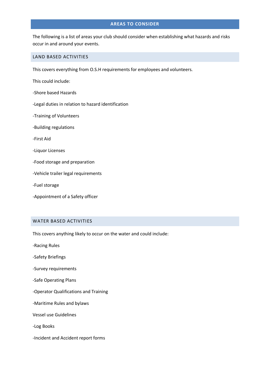## **AREAS TO CONSIDER**

<span id="page-5-0"></span>The following is a list of areas your club should consider when establishing what hazards and risks occur in and around your events.

### <span id="page-5-1"></span>LAND BASED ACTIVITIES

This covers everything from O.S.H requirements for employees and volunteers.

This could include:

- -Shore based Hazards
- -Legal duties in relation to hazard identification
- -Training of Volunteers
- -Building regulations
- -First Aid
- -Liquor Licenses
- -Food storage and preparation
- -Vehicle trailer legal requirements
- -Fuel storage
- -Appointment of a Safety officer

### <span id="page-5-2"></span>WATER BASED ACTIVITIES

This covers anything likely to occur on the water and could include:

- -Racing Rules
- -Safety Briefings
- -Survey requirements
- -Safe Operating Plans
- -Operator Qualifications and Training
- -Maritime Rules and bylaws
- Vessel use Guidelines
- -Log Books
- -Incident and Accident report forms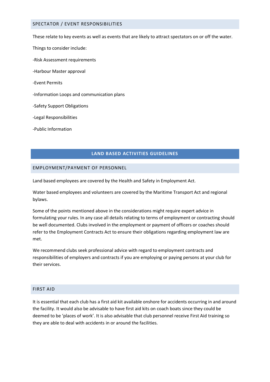#### <span id="page-6-0"></span>SPECTATOR / EVENT RESPONSIBILITIES

These relate to key events as well as events that are likely to attract spectators on or off the water.

- Things to consider include:
- -Risk Assessment requirements
- -Harbour Master approval
- -Event Permits
- -Information Loops and communication plans
- -Safety Support Obligations
- -Legal Responsibilities
- -Public Information

### **LAND BASED ACTIVITIES GUIDELINES**

#### <span id="page-6-2"></span><span id="page-6-1"></span>EMPLOYMENT/PAYMENT OF PERSONNEL

Land based employees are covered by the Health and Safety in Employment Act.

Water based employees and volunteers are covered by the Maritime Transport Act and regional bylaws.

Some of the points mentioned above in the considerations might require expert advice in formulating your rules. In any case all details relating to terms of employment or contracting should be well documented. Clubs involved in the employment or payment of officers or coaches should refer to the Employment Contracts Act to ensure their obligations regarding employment law are met.

We recommend clubs seek professional advice with regard to employment contracts and responsibilities of employers and contracts if you are employing or paying persons at your club for their services.

### <span id="page-6-3"></span>FIRST AID

It is essential that each club has a first aid kit available onshore for accidents occurring in and around the facility. It would also be advisable to have first aid kits on coach boats since they could be deemed to be 'places of work'. It is also advisable that club personnel receive First Aid training so they are able to deal with accidents in or around the facilities.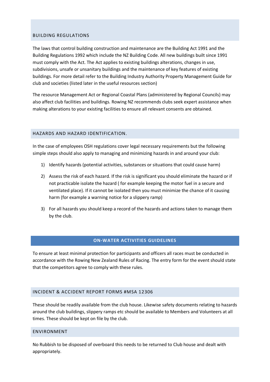### <span id="page-7-0"></span>BUILDING REGULATIONS

The laws that control building construction and maintenance are the Building Act 1991 and the Building Regulations 1992 which include the NZ Building Code. All new buildings built since 1991 must comply with the Act. The Act applies to existing buildings alterations, changes in use, subdivisions, unsafe or unsanitary buildings and the maintenance of key features of existing buildings. For more detail refer to the Building Industry Authority Property Management Guide for club and societies (listed later in the useful resources section)

The resource Management Act or Regional Coastal Plans (administered by Regional Councils) may also affect club facilities and buildings. Rowing NZ recommends clubs seek expert assistance when making alterations to your existing facilities to ensure all relevant consents are obtained.

### <span id="page-7-1"></span>HAZARDS AND HAZARD IDENTIFICATION.

In the case of employees OSH regulations cover legal necessary requirements but the following simple steps should also apply to managing and minimizing hazards in and around your club:

- 1) Identify hazards (potential activities, substances or situations that could cause harm)
- 2) Assess the risk of each hazard. If the risk is significant you should eliminate the hazard or if not practicable isolate the hazard ( for example keeping the motor fuel in a secure and ventilated place). If it cannot be isolated then you must minimize the chance of it causing harm (for example a warning notice for a slippery ramp)
- 3) For all hazards you should keep a record of the hazards and actions taken to manage them by the club.

### **ON-WATER ACTIVITIES GUIDELINES**

<span id="page-7-2"></span>To ensure at least minimal protection for participants and officers all races must be conducted in accordance with the Rowing New Zealand Rules of Racing. The entry form for the event should state that the competitors agree to comply with these rules.

### <span id="page-7-3"></span>INCIDENT & ACCIDENT REPORT FORMS #MSA 12306

These should be readily available from the club house. Likewise safety documents relating to hazards around the club buildings, slippery ramps etc should be available to Members and Volunteers at all times. These should be kept on file by the club.

### <span id="page-7-4"></span>ENVIRONMENT

No Rubbish to be disposed of overboard this needs to be returned to Club house and dealt with appropriately.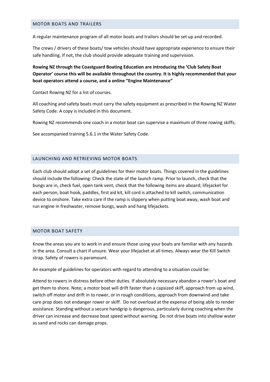#### <span id="page-8-0"></span>MOTOR BOATS AND TRAILERS

A regular maintenance program of all motor boats and trailors should be set up and recorded.

The crews / drivers of these boats/ tow vehicles should have appropriate experience to ensure their safe handling. If not, the club should provide adequate training and supervision.

## **Rowing NZ through the Coastguard Boating Education are introducing the 'Club Safety Boat Operator' course this will be available throughout the country. It is highly recommended that your boat operators attend a course, and a online "Engine Maintenance"**

Contact Rowing NZ for a list of courses.

All coaching and safety boats must carry the safety equipment as prescribed in the Rowing NZ Water Safety Code. A copy is included in this document.

Rowing NZ recommends one coach in a motor boat can supervise a maximum of three rowing skiffs;

See accompanied training 5.6.1 in the Water Safety Code.

#### <span id="page-8-1"></span>LAUNCHING AND RETRIEVING MOTOR BOATS

Each club should adopt a set of guidelines for their motor boats. Things covered in the guidelines should include the following: Check the state of the launch ramp. Prior to launch, check that the bungs are in, check fuel, open tank vent, check that the following items are aboard; lifejacket for each person, boat hook, paddles, first aid kit, kill cord is attached to kill switch, communication device to onshore. Take extra care if the ramp is slippery when putting boat away, wash boat and run engine in freshwater, remove bungs, wash and hang lifejackets.

### <span id="page-8-2"></span>MOTOR BOAT SAFETY

Know the areas you are to work in and ensure those using your boats are familiar with any hazards in the area. Consult a chart if unsure. Wear your lifejacket at all times. Always wear the Kill Switch strap. Safety of rowers is paramount.

An example of guidelines for operators with regard to attending to a situation could be:

Attend to rowers in distress before other duties. If absolutely necessary abandon a rower's boat and get them to shore. Note; a motor boat will drift faster than a capsized skiff, approach from up wind, switch off motor and drift in to rower, or in rough conditions, approach from downwind and take care prop does not endanger rower or skiff. Do not overload at the expense of being able to render assistance. Standing without a secure handgrip is dangerous, particularly during coaching when the driver can increase and decrease boat speed without warning. Do not drive boats into shallow water as sand and rocks can damage props.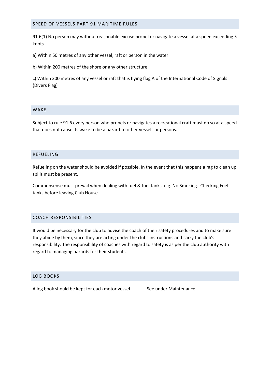#### <span id="page-9-0"></span>SPEED OF VESSELS PART 91 MARITIME RULES

91.6(1) No person may without reasonable excuse propel or navigate a vessel at a speed exceeding 5 knots.

a) Within 50 metres of any other vessel, raft or person in the water

b) Within 200 metres of the shore or any other structure

c) Within 200 metres of any vessel or raft that is flying flag A of the International Code of Signals (Divers Flag)

#### <span id="page-9-1"></span>WAKE

Subject to rule 91.6 every person who propels or navigates a recreational craft must do so at a speed that does not cause its wake to be a hazard to other vessels or persons.

#### <span id="page-9-2"></span>REFUELING

Refueling on the water should be avoided if possible. In the event that this happens a rag to clean up spills must be present.

Commonsense must prevail when dealing with fuel & fuel tanks, e.g. No Smoking. Checking Fuel tanks before leaving Club House.

#### <span id="page-9-3"></span>COACH RESPONSIBILITIES

It would be necessary for the club to advise the coach of their safety procedures and to make sure they abide by them, since they are acting under the clubs instructions and carry the club's responsibility. The responsibility of coaches with regard to safety is as per the club authority with regard to managing hazards for their students.

### <span id="page-9-4"></span>LOG BOOKS

A log book should be kept for each motor vessel. See under Maintenance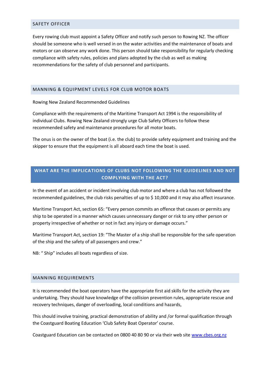### <span id="page-10-0"></span>SAFETY OFFICER

Every rowing club must appoint a Safety Officer and notify such person to Rowing NZ. The officer should be someone who is well versed in on the water activities and the maintenance of boats and motors or can observe any work done. This person should take responsibility for regularly checking compliance with safety rules, policies and plans adopted by the club as well as making recommendations for the safety of club personnel and participants.

### <span id="page-10-1"></span>MANNING & EQUIPMENT LEVELS FOR CLUB MOTOR BOATS

Rowing New Zealand Recommended Guidelines

Compliance with the requirements of the Maritime Transport Act 1994 is the responsibility of individual Clubs. Rowing New Zealand strongly urge Club Safety Officers to follow these recommended safety and maintenance procedures for all motor boats.

The onus is on the owner of the boat (i.e. the club) to provide safety equipment and training and the skipper to ensure that the equipment is all aboard each time the boat is used.

## <span id="page-10-2"></span>**WHAT ARE THE IMPLICATIONS OF CLUBS NOT FOLLOWING THE GUIDELINES AND NOT COMPLYING WITH THE ACT?**

In the event of an accident or incident involving club motor and where a club has not followed the recommended guidelines, the club risks penalties of up to \$ 10,000 and it may also affect insurance.

Maritime Transport Act, section 65: "Every person commits an offence that causes or permits any ship to be operated in a manner which causes unnecessary danger or risk to any other person or property irrespective of whether or not in fact any injury or damage occurs."

Maritime Transport Act, section 19: "The Master of a ship shall be responsible for the safe operation of the ship and the safety of all passengers and crew."

NB: " Ship" includes all boats regardless of size.

#### <span id="page-10-3"></span>MANNING REQUIREMENTS

It is recommended the boat operators have the appropriate first aid skills for the activity they are undertaking. They should have knowledge of the collision prevention rules, appropriate rescue and recovery techniques, danger of overloading, local conditions and hazards,

This should involve training, practical demonstration of ability and /or formal qualification through the Coastguard Boating Education 'Club Safety Boat Operator' course.

Coastguard Education can be contacted on 0800 40 80 90 or via their web site [www.cbes.org.nz](http://www.cbes.org.nz/)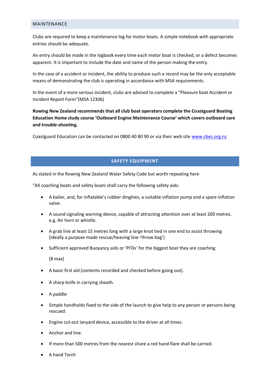#### <span id="page-11-0"></span>MAINTENANCE

Clubs are required to keep a maintenance log for motor boats. A simple notebook with appropriate entries should be adequate.

An entry should be made in the logbook every time each motor boat is checked, or a defect becomes apparent. It is important to include the date and name of the person making the entry.

In the case of a accident or incident, the ability to produce such a record may be the only acceptable means of demonstrating the club is operating in accordance with MSA requirements.

In the event of a more serious incident, clubs are advised to complete a "Pleasure boat Accident or Incident Report Form"(MSA 12306)

**Rowing New Zealand recommends that all club boat operators complete the Coastguard Boating Education Home study course 'Outboard Engine Maintenance Course' which covers outboard care and trouble-shooting.**

Coastguard Education can be contacted on 0800 40 80 90 or via their web site [www.cbes.org.nz](http://www.cbes.org.nz/)

### **SAFETY EQUIPMENT**

<span id="page-11-1"></span>As stated in the Rowing New Zealand Water Safety Code but worth repeating here

"All coaching boats and safety boats shall carry the following safety aids:

- A bailer, and, for inflatable's rubber dinghies, a suitable inflation pump and a spare inflation valve.
- A sound signaling warning device, capable of attracting attention over at least 200 metres. e.g. Air horn or whistle.
- A grab line at least 15 metres long with a large knot tied in one end to assist throwing (ideally a purpose made rescue/heaving line-'throw bag')
- Sufficient approved Buoyancy aids or 'PFDs' for the biggest boat they are coaching

(8 max)

- A basic first aid (contents recorded and checked before going out).
- A sharp knife in carrying sheath.
- A paddle
- Simple handholds fixed to the side of the launch to give help to any person or persons being rescued.
- Engine cut-out lanyard device, accessible to the driver at all times.
- Anchor and line.
- If more than 500 metres from the nearest shore a red hand flare shall be carried.
- A hand Torch